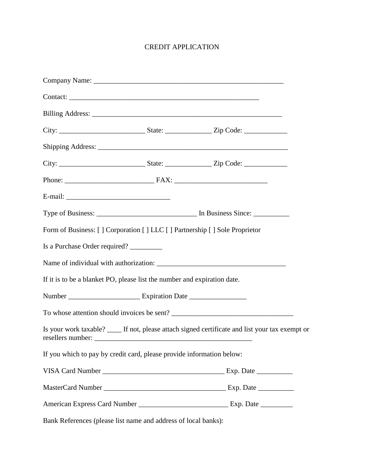## CREDIT APPLICATION

| Form of Business: [ ] Corporation [ ] LLC [ ] Partnership [ ] Sole Proprietor |                                                                                                  |
|-------------------------------------------------------------------------------|--------------------------------------------------------------------------------------------------|
| Is a Purchase Order required?                                                 |                                                                                                  |
|                                                                               |                                                                                                  |
| If it is to be a blanket PO, please list the number and expiration date.      |                                                                                                  |
|                                                                               |                                                                                                  |
|                                                                               |                                                                                                  |
| resellers number:                                                             | Is your work taxable? _____ If not, please attach signed certificate and list your tax exempt or |
| If you which to pay by credit card, please provide information below:         |                                                                                                  |
|                                                                               |                                                                                                  |
|                                                                               |                                                                                                  |
|                                                                               |                                                                                                  |
| Bank References (please list name and address of local banks):                |                                                                                                  |